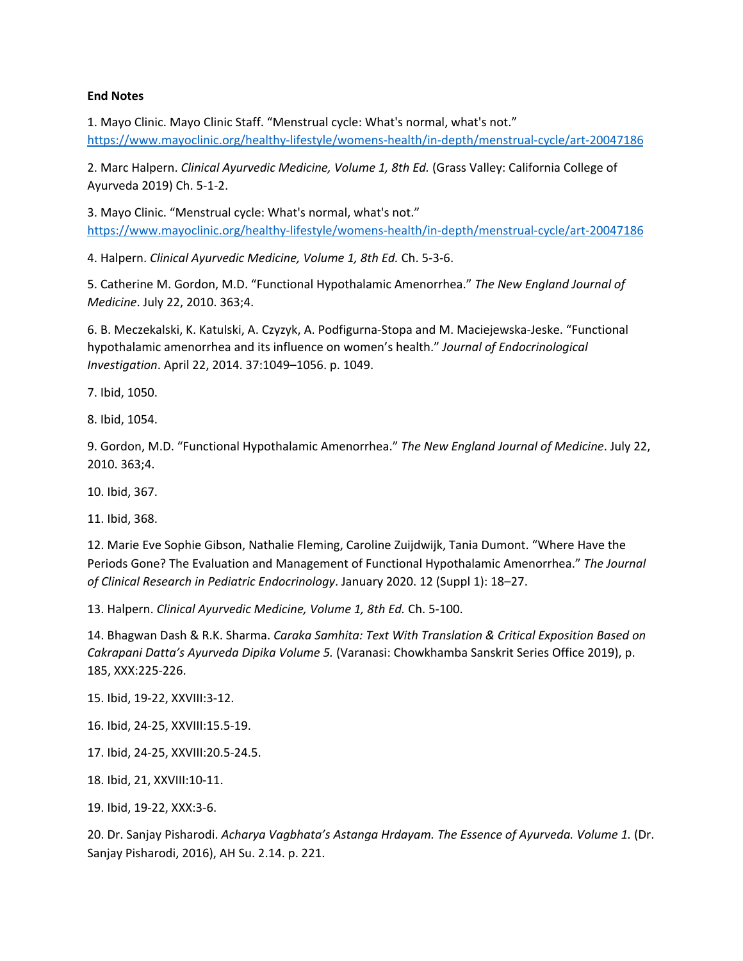#### **End Notes**

1. Mayo Clinic. Mayo Clinic Staff. "Menstrual cycle: What's normal, what's not." <https://www.mayoclinic.org/healthy-lifestyle/womens-health/in-depth/menstrual-cycle/art-20047186>

2. Marc Halpern. *Clinical Ayurvedic Medicine, Volume 1, 8th Ed.* (Grass Valley: California College of Ayurveda 2019) Ch. 5-1-2.

3. Mayo Clinic. "Menstrual cycle: What's normal, what's not." <https://www.mayoclinic.org/healthy-lifestyle/womens-health/in-depth/menstrual-cycle/art-20047186>

4. Halpern. *Clinical Ayurvedic Medicine, Volume 1, 8th Ed.* Ch. 5-3-6.

5. Catherine M. Gordon, M.D. "Functional Hypothalamic Amenorrhea." *The New England Journal of Medicine*. July 22, 2010. 363;4.

6. B. Meczekalski, K. Katulski, A. Czyzyk, A. Podfigurna-Stopa and M. Maciejewska-Jeske. "Functional hypothalamic amenorrhea and its influence on women's health." *Journal of Endocrinological Investigation*. April 22, 2014. 37:1049–1056. p. 1049.

7. Ibid, 1050.

8. Ibid, 1054.

9. Gordon, M.D. "Functional Hypothalamic Amenorrhea." *The New England Journal of Medicine*. July 22, 2010. 363;4.

10. Ibid, 367.

11. Ibid, 368.

12. Marie Eve Sophie Gibson, Nathalie Fleming, Caroline Zuijdwijk, Tania Dumont. "Where Have the Periods Gone? The Evaluation and Management of Functional Hypothalamic Amenorrhea." *The Journal of Clinical Research in Pediatric Endocrinology*. January 2020. 12 (Suppl 1): 18–27.

13. Halpern. *Clinical Ayurvedic Medicine, Volume 1, 8th Ed.* Ch. 5-100.

14. Bhagwan Dash & R.K. Sharma. *Caraka Samhita: Text With Translation & Critical Exposition Based on Cakrapani Datta's Ayurveda Dipika Volume 5.* (Varanasi: Chowkhamba Sanskrit Series Office 2019), p. 185, XXX:225-226.

15. Ibid, 19-22, XXVIII:3-12.

16. Ibid, 24-25, XXVIII:15.5-19.

17. Ibid, 24-25, XXVIII:20.5-24.5.

18. Ibid, 21, XXVIII:10-11.

19. Ibid, 19-22, XXX:3-6.

20. Dr. Sanjay Pisharodi. *Acharya Vagbhata's Astanga Hrdayam. The Essence of Ayurveda. Volume 1.* (Dr. Sanjay Pisharodi, 2016), AH Su. 2.14. p. 221.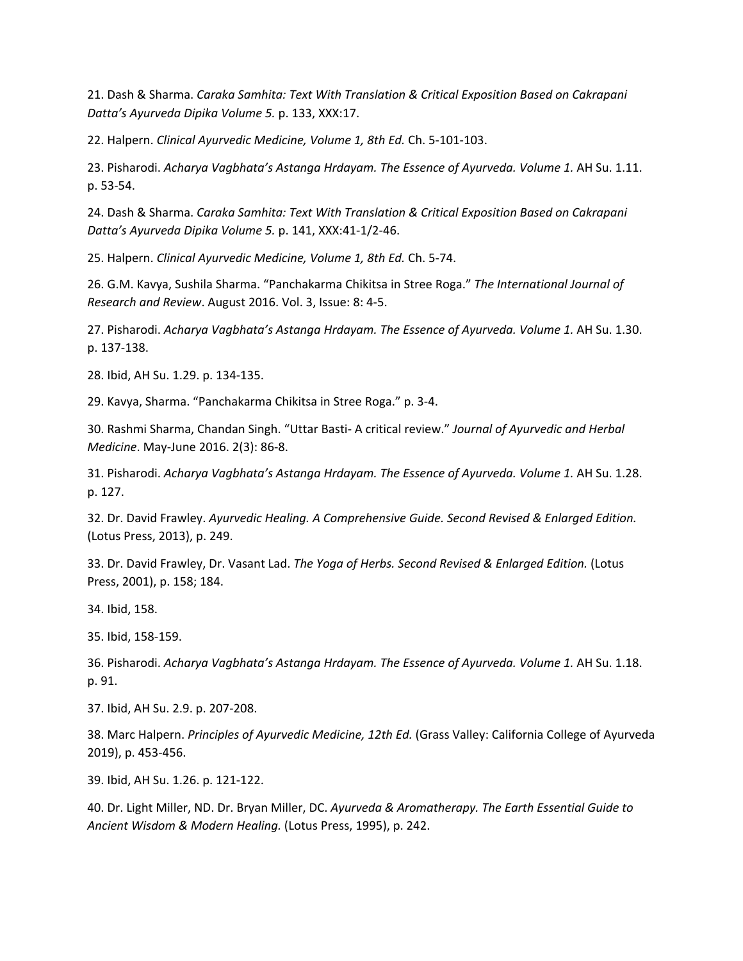21. Dash & Sharma. *Caraka Samhita: Text With Translation & Critical Exposition Based on Cakrapani Datta's Ayurveda Dipika Volume 5.* p. 133, XXX:17.

22. Halpern. *Clinical Ayurvedic Medicine, Volume 1, 8th Ed.* Ch. 5-101-103.

23. Pisharodi. *Acharya Vagbhata's Astanga Hrdayam. The Essence of Ayurveda. Volume 1.* AH Su. 1.11. p. 53-54.

24. Dash & Sharma. *Caraka Samhita: Text With Translation & Critical Exposition Based on Cakrapani Datta's Ayurveda Dipika Volume 5.* p. 141, XXX:41-1/2-46.

25. Halpern. *Clinical Ayurvedic Medicine, Volume 1, 8th Ed.* Ch. 5-74.

26. G.M. Kavya, Sushila Sharma. "Panchakarma Chikitsa in Stree Roga." *The International Journal of Research and Review*. August 2016. Vol. 3, Issue: 8: 4-5.

27. Pisharodi. *Acharya Vagbhata's Astanga Hrdayam. The Essence of Ayurveda. Volume 1.* AH Su. 1.30. p. 137-138.

28. Ibid, AH Su. 1.29. p. 134-135.

29. Kavya, Sharma. "Panchakarma Chikitsa in Stree Roga." p. 3-4.

30. Rashmi Sharma, Chandan Singh. "Uttar Basti- A critical review." *Journal of Ayurvedic and Herbal Medicine*. May-June 2016. 2(3): 86-8.

31. Pisharodi. *Acharya Vagbhata's Astanga Hrdayam. The Essence of Ayurveda. Volume 1.* AH Su. 1.28. p. 127.

32. Dr. David Frawley. *Ayurvedic Healing. A Comprehensive Guide. Second Revised & Enlarged Edition.* (Lotus Press, 2013), p. 249.

33. Dr. David Frawley, Dr. Vasant Lad. *The Yoga of Herbs. Second Revised & Enlarged Edition.* (Lotus Press, 2001), p. 158; 184.

34. Ibid, 158.

35. Ibid, 158-159.

36. Pisharodi. *Acharya Vagbhata's Astanga Hrdayam. The Essence of Ayurveda. Volume 1.* AH Su. 1.18. p. 91.

37. Ibid, AH Su. 2.9. p. 207-208.

38. Marc Halpern. *Principles of Ayurvedic Medicine, 12th Ed.* (Grass Valley: California College of Ayurveda 2019), p. 453-456.

39. Ibid, AH Su. 1.26. p. 121-122.

40. Dr. Light Miller, ND. Dr. Bryan Miller, DC. *Ayurveda & Aromatherapy. The Earth Essential Guide to Ancient Wisdom & Modern Healing.* (Lotus Press, 1995), p. 242.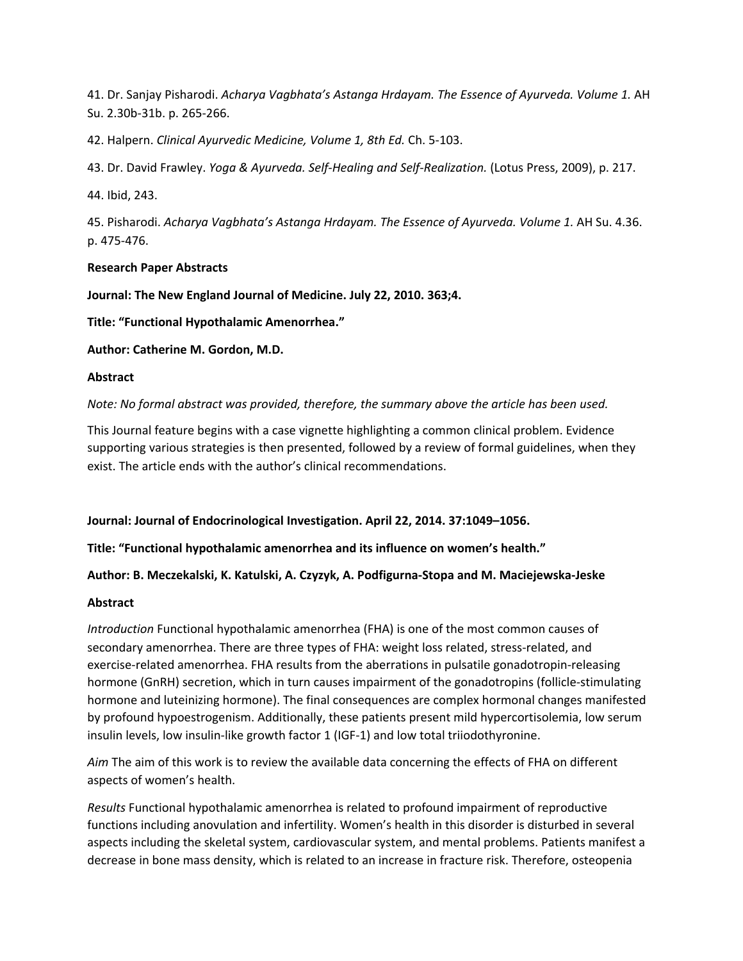41. Dr. Sanjay Pisharodi. *Acharya Vagbhata's Astanga Hrdayam. The Essence of Ayurveda. Volume 1.* AH Su. 2.30b-31b. p. 265-266.

42. Halpern. *Clinical Ayurvedic Medicine, Volume 1, 8th Ed.* Ch. 5-103.

43. Dr. David Frawley. *Yoga & Ayurveda. Self-Healing and Self-Realization.* (Lotus Press, 2009), p. 217.

44. Ibid, 243.

45. Pisharodi. *Acharya Vagbhata's Astanga Hrdayam. The Essence of Ayurveda. Volume 1.* AH Su. 4.36. p. 475-476.

## **Research Paper Abstracts**

**Journal: The New England Journal of Medicine. July 22, 2010. 363;4.**

**Title: "Functional Hypothalamic Amenorrhea."**

**Author: Catherine M. Gordon, M.D.**

## **Abstract**

*Note: No formal abstract was provided, therefore, the summary above the article has been used.*

This Journal feature begins with a case vignette highlighting a common clinical problem. Evidence supporting various strategies is then presented, followed by a review of formal guidelines, when they exist. The article ends with the author's clinical recommendations.

**Journal: Journal of Endocrinological Investigation. April 22, 2014. 37:1049–1056.**

**Title: "Functional hypothalamic amenorrhea and its influence on women's health."**

**Author: B. Meczekalski, K. Katulski, A. Czyzyk, A. Podfigurna-Stopa and M. Maciejewska-Jeske**

### **Abstract**

*Introduction* Functional hypothalamic amenorrhea (FHA) is one of the most common causes of secondary amenorrhea. There are three types of FHA: weight loss related, stress-related, and exercise-related amenorrhea. FHA results from the aberrations in pulsatile gonadotropin-releasing hormone (GnRH) secretion, which in turn causes impairment of the gonadotropins (follicle-stimulating hormone and luteinizing hormone). The final consequences are complex hormonal changes manifested by profound hypoestrogenism. Additionally, these patients present mild hypercortisolemia, low serum insulin levels, low insulin-like growth factor 1 (IGF-1) and low total triiodothyronine.

*Aim* The aim of this work is to review the available data concerning the effects of FHA on different aspects of women's health.

*Results* Functional hypothalamic amenorrhea is related to profound impairment of reproductive functions including anovulation and infertility. Women's health in this disorder is disturbed in several aspects including the skeletal system, cardiovascular system, and mental problems. Patients manifest a decrease in bone mass density, which is related to an increase in fracture risk. Therefore, osteopenia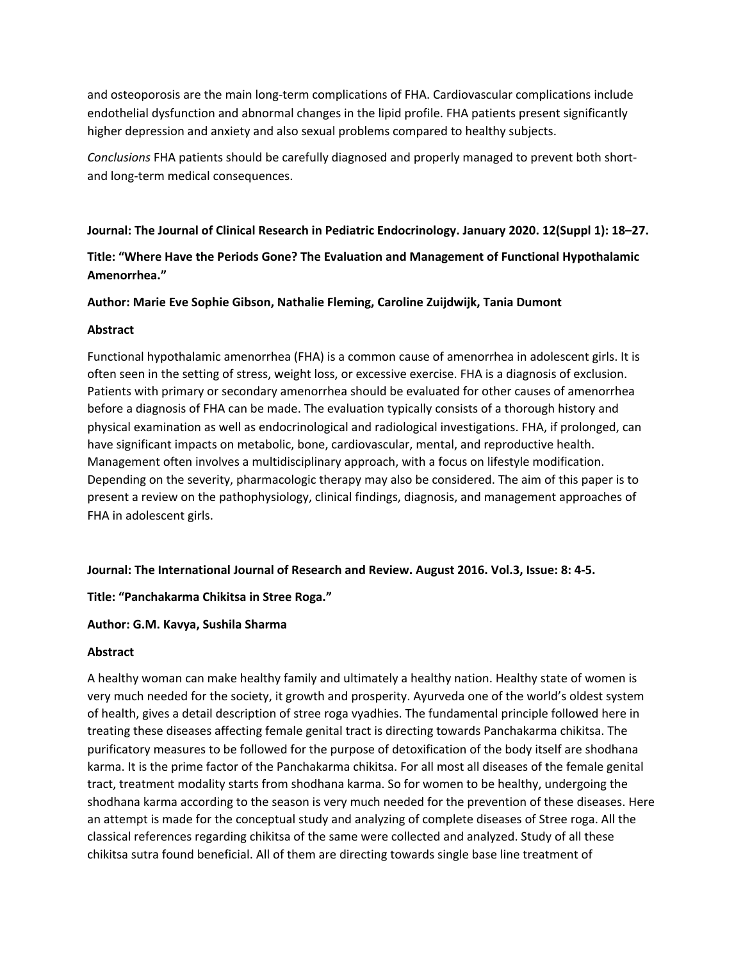and osteoporosis are the main long-term complications of FHA. Cardiovascular complications include endothelial dysfunction and abnormal changes in the lipid profile. FHA patients present significantly higher depression and anxiety and also sexual problems compared to healthy subjects.

*Conclusions* FHA patients should be carefully diagnosed and properly managed to prevent both shortand long-term medical consequences.

## **Journal: The Journal of Clinical Research in Pediatric Endocrinology. January 2020. 12(Suppl 1): 18–27.**

# **Title: "Where Have the Periods Gone? The Evaluation and Management of Functional Hypothalamic Amenorrhea."**

## **Author: Marie Eve Sophie Gibson, Nathalie Fleming, Caroline Zuijdwijk, Tania Dumont**

## **Abstract**

Functional hypothalamic amenorrhea (FHA) is a common cause of amenorrhea in adolescent girls. It is often seen in the setting of stress, weight loss, or excessive exercise. FHA is a diagnosis of exclusion. Patients with primary or secondary amenorrhea should be evaluated for other causes of amenorrhea before a diagnosis of FHA can be made. The evaluation typically consists of a thorough history and physical examination as well as endocrinological and radiological investigations. FHA, if prolonged, can have significant impacts on metabolic, bone, cardiovascular, mental, and reproductive health. Management often involves a multidisciplinary approach, with a focus on lifestyle modification. Depending on the severity, pharmacologic therapy may also be considered. The aim of this paper is to present a review on the pathophysiology, clinical findings, diagnosis, and management approaches of FHA in adolescent girls.

### **Journal: The International Journal of Research and Review. August 2016. Vol.3, Issue: 8: 4-5.**

## **Title: "Panchakarma Chikitsa in Stree Roga."**

## **Author: G.M. Kavya, Sushila Sharma**

### **Abstract**

A healthy woman can make healthy family and ultimately a healthy nation. Healthy state of women is very much needed for the society, it growth and prosperity. Ayurveda one of the world's oldest system of health, gives a detail description of stree roga vyadhies. The fundamental principle followed here in treating these diseases affecting female genital tract is directing towards Panchakarma chikitsa. The purificatory measures to be followed for the purpose of detoxification of the body itself are shodhana karma. It is the prime factor of the Panchakarma chikitsa. For all most all diseases of the female genital tract, treatment modality starts from shodhana karma. So for women to be healthy, undergoing the shodhana karma according to the season is very much needed for the prevention of these diseases. Here an attempt is made for the conceptual study and analyzing of complete diseases of Stree roga. All the classical references regarding chikitsa of the same were collected and analyzed. Study of all these chikitsa sutra found beneficial. All of them are directing towards single base line treatment of